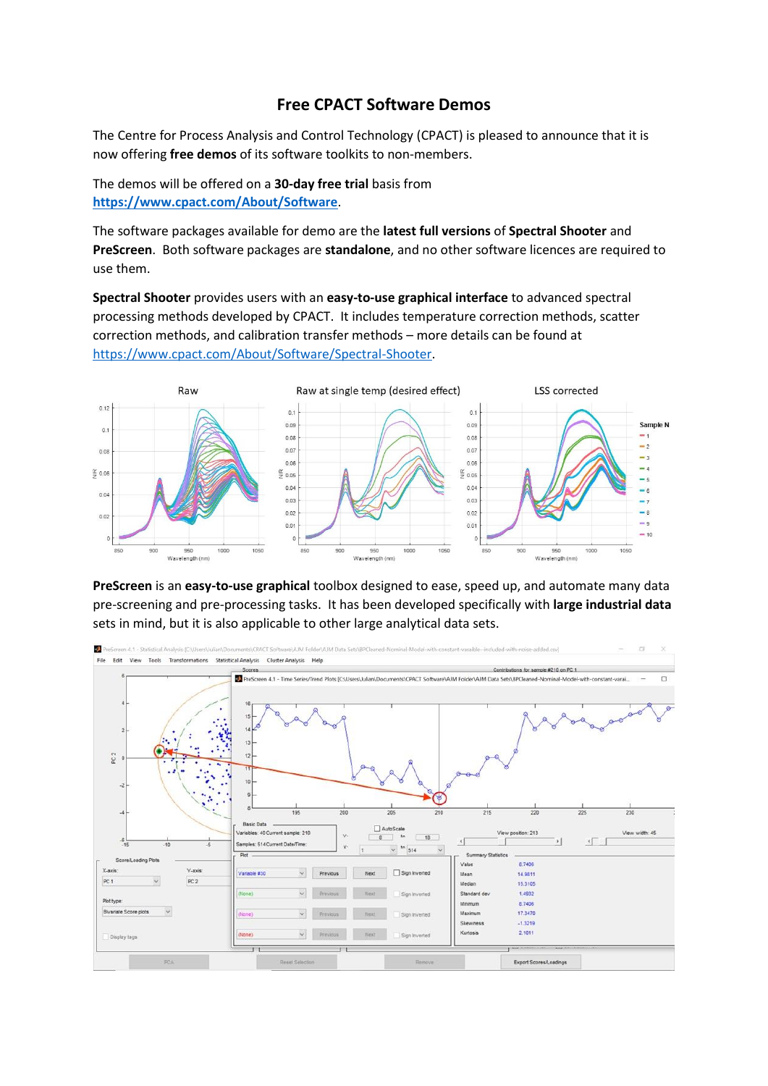## **Free CPACT Software Demos**

The Centre for Process Analysis and Control Technology (CPACT) is pleased to announce that it is now offering **free demos** of its software toolkits to non-members.

The demos will be offered on a **30-day free trial** basis from **<https://www.cpact.com/About/Software>**.

The software packages available for demo are the **latest full versions** of **Spectral Shooter** and **PreScreen**. Both software packages are **standalone**, and no other software licences are required to use them.

**Spectral Shooter** provides users with an **easy-to-use graphical interface** to advanced spectral processing methods developed by CPACT. It includes temperature correction methods, scatter correction methods, and calibration transfer methods – more details can be found at [https://www.cpact.com/About/Software/Spectral-Shooter.](https://www.cpact.com/About/Software/Spectral-Shooter)



**PreScreen** is an **easy-to-use graphical** toolbox designed to ease, speed up, and automate many data pre-screening and pre-processing tasks. It has been developed specifically with **large industrial data** sets in mind, but it is also applicable to other large analytical data sets.